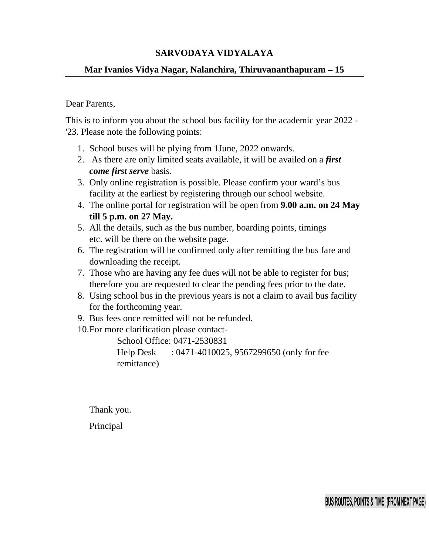## **SARVODAYA VIDYALAYA**

## **Mar Ivanios Vidya Nagar, Nalanchira, Thiruvananthapuram – 15**

## Dear Parents,

This is to inform you about the school bus facility for the academic year 2022 - '23. Please note the following points:

- 1. School buses will be plying from 1June, 2022 onwards.
- 2. As there are only limited seats available, it will be availed on a *first come first serve* basis.
- 3. Only online registration is possible. Please confirm your ward's bus facility at the earliest by registering through our school website.
- 4. The online portal for registration will be open from **9.00 a.m. on 24 May till 5 p.m. on 27 May.**
- 5. All the details, such as the bus number, boarding points, timings etc. will be there on the website page.
- 6. The registration will be confirmed only after remitting the bus fare and downloading the receipt.
- 7. Those who are having any fee dues will not be able to register for bus; therefore you are requested to clear the pending fees prior to the date.
- 8. Using school bus in the previous years is not a claim to avail bus facility for the forthcoming year.
- 9. Bus fees once remitted will not be refunded.
- 10.For more clarification please contact-

 School Office: 0471-2530831 Help Desk : 0471-4010025, 9567299650 (only for fee remittance)

Thank you.

Principal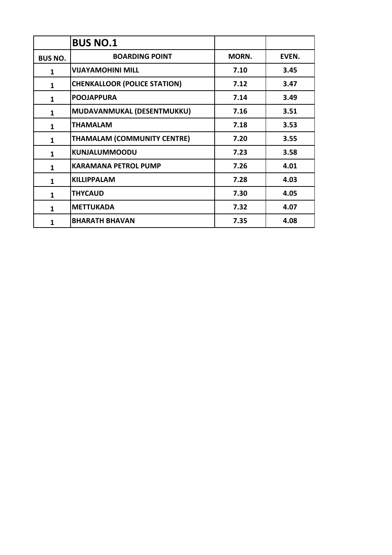|                | <b>BUS NO.1</b>                     |       |       |
|----------------|-------------------------------------|-------|-------|
| <b>BUS NO.</b> | <b>BOARDING POINT</b>               | MORN. | EVEN. |
| $\mathbf{1}$   | <b>VIJAYAMOHINI MILL</b>            | 7.10  | 3.45  |
| $\mathbf{1}$   | <b>CHENKALLOOR (POLICE STATION)</b> | 7.12  | 3.47  |
| 1              | <b>POOJAPPURA</b>                   | 7.14  | 3.49  |
| $\mathbf{1}$   | MUDAVANMUKAL (DESENTMUKKU)          | 7.16  | 3.51  |
| 1              | <b>THAMALAM</b>                     | 7.18  | 3.53  |
| 1              | <b>THAMALAM (COMMUNITY CENTRE)</b>  | 7.20  | 3.55  |
| $\mathbf{1}$   | <b>KUNJALUMMOODU</b>                | 7.23  | 3.58  |
| $\mathbf 1$    | <b>KARAMANA PETROL PUMP</b>         | 7.26  | 4.01  |
| 1              | <b>KILLIPPALAM</b>                  | 7.28  | 4.03  |
| $\mathbf{1}$   | <b>THYCAUD</b>                      | 7.30  | 4.05  |
| 1              | <b>METTUKADA</b>                    | 7.32  | 4.07  |
| 1              | <b>BHARATH BHAVAN</b>               | 7.35  | 4.08  |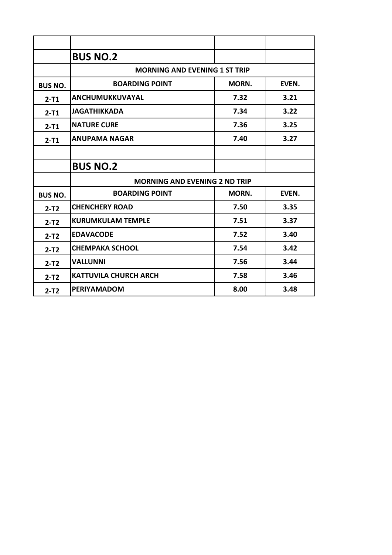|                | <b>BUS NO.2</b>                      |       |       |
|----------------|--------------------------------------|-------|-------|
|                | <b>MORNING AND EVENING 1 ST TRIP</b> |       |       |
| <b>BUS NO.</b> | <b>BOARDING POINT</b>                | MORN. | EVEN. |
| $2 - T1$       | ANCHUMUKKUVAYAL                      | 7.32  | 3.21  |
| $2-T1$         | <b>JAGATHIKKADA</b>                  | 7.34  | 3.22  |
| $2-T1$         | <b>NATURE CURE</b>                   | 7.36  | 3.25  |
| $2-T1$         | <b>ANUPAMA NAGAR</b>                 | 7.40  | 3.27  |
|                |                                      |       |       |
|                | <b>BUS NO.2</b>                      |       |       |
|                | <b>MORNING AND EVENING 2 ND TRIP</b> |       |       |
| <b>BUS NO.</b> | <b>BOARDING POINT</b>                | MORN. | EVEN. |
| $2-T2$         | <b>CHENCHERY ROAD</b>                | 7.50  | 3.35  |
| $2-T2$         | <b>KURUMKULAM TEMPLE</b>             | 7.51  | 3.37  |
| $2-T2$         | <b>EDAVACODE</b>                     | 7.52  | 3.40  |
| $2-T2$         | <b>CHEMPAKA SCHOOL</b>               | 7.54  | 3.42  |
| $2-T2$         | <b>VALLUNNI</b>                      | 7.56  | 3.44  |
| $2-T2$         | <b>KATTUVILA CHURCH ARCH</b>         | 7.58  | 3.46  |
| $2-T2$         | <b>PERIYAMADOM</b>                   | 8.00  | 3.48  |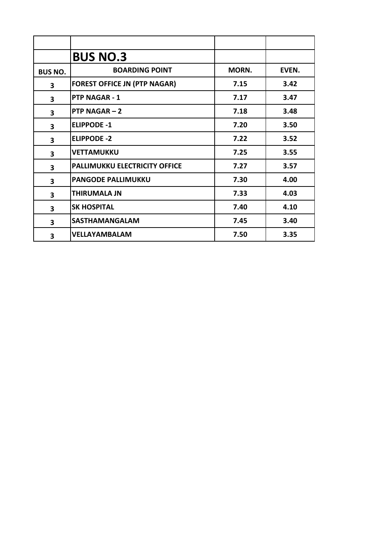|                         | <b>BUS NO.3</b>                      |       |       |
|-------------------------|--------------------------------------|-------|-------|
| <b>BUS NO.</b>          | <b>BOARDING POINT</b>                | MORN. | EVEN. |
| $\overline{\mathbf{3}}$ | <b>FOREST OFFICE JN (PTP NAGAR)</b>  | 7.15  | 3.42  |
| 3                       | <b>PTP NAGAR - 1</b>                 | 7.17  | 3.47  |
| $\overline{\mathbf{3}}$ | PTP NAGAR $-2$                       | 7.18  | 3.48  |
| $\overline{\mathbf{3}}$ | <b>ELIPPODE -1</b>                   | 7.20  | 3.50  |
| $\overline{\mathbf{3}}$ | <b>ELIPPODE -2</b>                   | 7.22  | 3.52  |
| 3                       | <b>VETTAMUKKU</b>                    | 7.25  | 3.55  |
| $\overline{\mathbf{3}}$ | <b>PALLIMUKKU ELECTRICITY OFFICE</b> | 7.27  | 3.57  |
| $\overline{\mathbf{3}}$ | <b>PANGODE PALLIMUKKU</b>            | 7.30  | 4.00  |
| 3                       | <b>THIRUMALA JN</b>                  | 7.33  | 4.03  |
| $\overline{\mathbf{3}}$ | <b>SK HOSPITAL</b>                   | 7.40  | 4.10  |
| 3                       | <b>SASTHAMANGALAM</b>                | 7.45  | 3.40  |
| 3                       | <b>VELLAYAMBALAM</b>                 | 7.50  | 3.35  |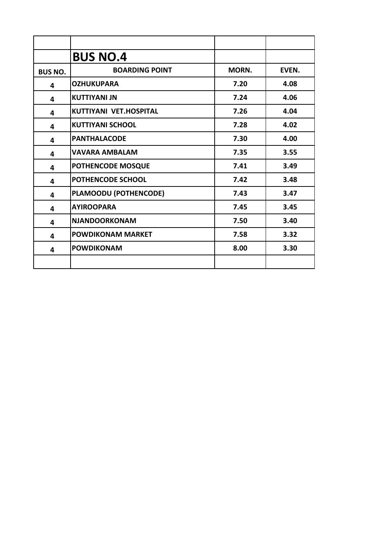|                         | <b>BUS NO.4</b>          |       |       |
|-------------------------|--------------------------|-------|-------|
| <b>BUS NO.</b>          | <b>BOARDING POINT</b>    | MORN. | EVEN. |
| 4                       | <b>OZHUKUPARA</b>        | 7.20  | 4.08  |
| 4                       | <b>KUTTIYANI JN</b>      | 7.24  | 4.06  |
| 4                       | KUTTIYANI VET.HOSPITAL   | 7.26  | 4.04  |
| 4                       | <b>KUTTIYANI SCHOOL</b>  | 7.28  | 4.02  |
| 4                       | <b>PANTHALACODE</b>      | 7.30  | 4.00  |
| 4                       | <b>VAVARA AMBALAM</b>    | 7.35  | 3.55  |
| 4                       | POTHENCODE MOSQUE        | 7.41  | 3.49  |
| $\overline{\mathbf{4}}$ | POTHENCODE SCHOOL        | 7.42  | 3.48  |
| 4                       | PLAMOODU (POTHENCODE)    | 7.43  | 3.47  |
| 4                       | <b>AYIROOPARA</b>        | 7.45  | 3.45  |
| 4                       | <b>NJANDOORKONAM</b>     | 7.50  | 3.40  |
| 4                       | <b>POWDIKONAM MARKET</b> | 7.58  | 3.32  |
| 4                       | <b>POWDIKONAM</b>        | 8.00  | 3.30  |
|                         |                          |       |       |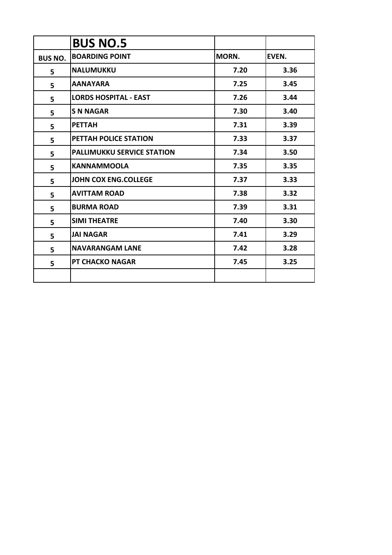|                | <b>BUS NO.5</b>                   |       |       |
|----------------|-----------------------------------|-------|-------|
| <b>BUS NO.</b> | <b>BOARDING POINT</b>             | MORN. | EVEN. |
| 5              | <b>NALUMUKKU</b>                  | 7.20  | 3.36  |
| 5              | <b>AANAYARA</b>                   | 7.25  | 3.45  |
| 5              | <b>LORDS HOSPITAL - EAST</b>      | 7.26  | 3.44  |
| 5              | <b>S N NAGAR</b>                  | 7.30  | 3.40  |
| 5              | <b>PETTAH</b>                     | 7.31  | 3.39  |
| 5              | PETTAH POLICE STATION             | 7.33  | 3.37  |
| 5              | <b>PALLIMUKKU SERVICE STATION</b> | 7.34  | 3.50  |
| 5              | <b>KANNAMMOOLA</b>                | 7.35  | 3.35  |
| 5              | <b>JOHN COX ENG.COLLEGE</b>       | 7.37  | 3.33  |
| 5              | <b>AVITTAM ROAD</b>               | 7.38  | 3.32  |
| 5              | <b>BURMA ROAD</b>                 | 7.39  | 3.31  |
| 5              | <b>SIMI THEATRE</b>               | 7.40  | 3.30  |
| 5              | <b>JAI NAGAR</b>                  | 7.41  | 3.29  |
| 5              | <b>NAVARANGAM LANE</b>            | 7.42  | 3.28  |
| 5              | <b>PT CHACKO NAGAR</b>            | 7.45  | 3.25  |
|                |                                   |       |       |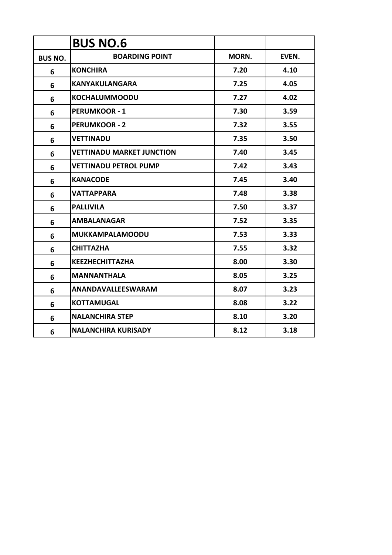|                | <b>BUS NO.6</b>                  |       |       |
|----------------|----------------------------------|-------|-------|
| <b>BUS NO.</b> | <b>BOARDING POINT</b>            | MORN. | EVEN. |
| 6              | <b>KONCHIRA</b>                  | 7.20  | 4.10  |
| 6              | <b>KANYAKULANGARA</b>            | 7.25  | 4.05  |
| 6              | <b>KOCHALUMMOODU</b>             | 7.27  | 4.02  |
| 6              | <b>PERUMKOOR - 1</b>             | 7.30  | 3.59  |
| 6              | <b>PERUMKOOR - 2</b>             | 7.32  | 3.55  |
| 6              | <b>VETTINADU</b>                 | 7.35  | 3.50  |
| 6              | <b>VETTINADU MARKET JUNCTION</b> | 7.40  | 3.45  |
| 6              | <b>VETTINADU PETROL PUMP</b>     | 7.42  | 3.43  |
| 6              | <b>KANACODE</b>                  | 7.45  | 3.40  |
| 6              | <b>VATTAPPARA</b>                | 7.48  | 3.38  |
| 6              | <b>PALLIVILA</b>                 | 7.50  | 3.37  |
| 6              | <b>AMBALANAGAR</b>               | 7.52  | 3.35  |
| 6              | <b>MUKKAMPALAMOODU</b>           | 7.53  | 3.33  |
| 6              | <b>CHITTAZHA</b>                 | 7.55  | 3.32  |
| 6              | <b>KEEZHECHITTAZHA</b>           | 8.00  | 3.30  |
| 6              | <b>MANNANTHALA</b>               | 8.05  | 3.25  |
| 6              | ANANDAVALLEESWARAM               | 8.07  | 3.23  |
| 6              | <b>KOTTAMUGAL</b>                | 8.08  | 3.22  |
| 6              | <b>NALANCHIRA STEP</b>           | 8.10  | 3.20  |
| 6              | <b>NALANCHIRA KURISADY</b>       | 8.12  | 3.18  |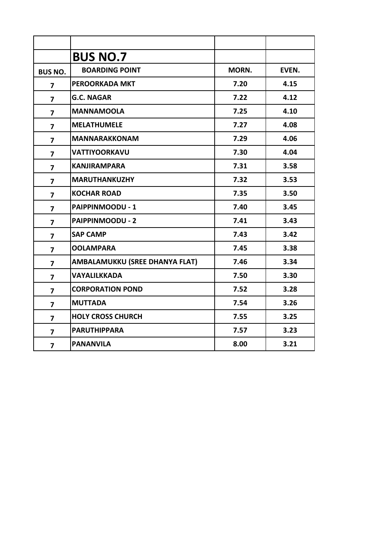|                         | <b>BUS NO.7</b>                |       |       |
|-------------------------|--------------------------------|-------|-------|
| <b>BUS NO.</b>          | <b>BOARDING POINT</b>          | MORN. | EVEN. |
| 7                       | <b>PEROORKADA MKT</b>          | 7.20  | 4.15  |
| 7                       | <b>G.C. NAGAR</b>              | 7.22  | 4.12  |
| $\overline{\mathbf{z}}$ | <b>MANNAMOOLA</b>              | 7.25  | 4.10  |
| $\overline{7}$          | <b>MELATHUMELE</b>             | 7.27  | 4.08  |
| $\overline{\mathbf{z}}$ | <b>MANNARAKKONAM</b>           | 7.29  | 4.06  |
| $\overline{\mathbf{z}}$ | <b>VATTIYOORKAVU</b>           | 7.30  | 4.04  |
| $\overline{\mathbf{z}}$ | <b>KANJIRAMPARA</b>            | 7.31  | 3.58  |
| $\overline{\mathbf{z}}$ | <b>MARUTHANKUZHY</b>           | 7.32  | 3.53  |
| $\overline{7}$          | <b>KOCHAR ROAD</b>             | 7.35  | 3.50  |
| $\overline{\mathbf{z}}$ | PAIPPINMOODU - 1               | 7.40  | 3.45  |
| $\overline{7}$          | <b>PAIPPINMOODU - 2</b>        | 7.41  | 3.43  |
| 7                       | <b>SAP CAMP</b>                | 7.43  | 3.42  |
| $\overline{7}$          | <b>OOLAMPARA</b>               | 7.45  | 3.38  |
| $\overline{7}$          | AMBALAMUKKU (SREE DHANYA FLAT) | 7.46  | 3.34  |
| $\overline{\mathbf{z}}$ | <b>VAYALILKKADA</b>            | 7.50  | 3.30  |
| $\overline{7}$          | <b>CORPORATION POND</b>        | 7.52  | 3.28  |
| $\overline{7}$          | <b>MUTTADA</b>                 | 7.54  | 3.26  |
| 7                       | <b>HOLY CROSS CHURCH</b>       | 7.55  | 3.25  |
| $\overline{\mathbf{z}}$ | <b>PARUTHIPPARA</b>            | 7.57  | 3.23  |
| $\overline{\mathbf{z}}$ | <b>PANANVILA</b>               | 8.00  | 3.21  |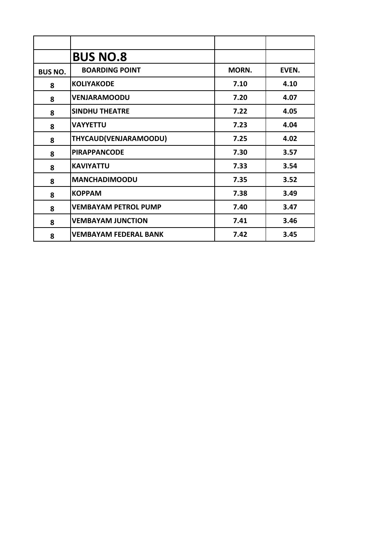|                | <b>BUS NO.8</b>              |       |       |
|----------------|------------------------------|-------|-------|
| <b>BUS NO.</b> | <b>BOARDING POINT</b>        | MORN. | EVEN. |
| 8              | <b>KOLIYAKODE</b>            | 7.10  | 4.10  |
| 8              | <b>VENJARAMOODU</b>          | 7.20  | 4.07  |
| 8              | <b>SINDHU THEATRE</b>        | 7.22  | 4.05  |
| 8              | <b>VAYYETTU</b>              | 7.23  | 4.04  |
| 8              | THYCAUD(VENJARAMOODU)        | 7.25  | 4.02  |
| 8              | <b>PIRAPPANCODE</b>          | 7.30  | 3.57  |
| 8              | <b>KAVIYATTU</b>             | 7.33  | 3.54  |
| 8              | <b>MANCHADIMOODU</b>         | 7.35  | 3.52  |
| 8              | <b>KOPPAM</b>                | 7.38  | 3.49  |
| 8              | <b>VEMBAYAM PETROL PUMP</b>  | 7.40  | 3.47  |
| 8              | <b>VEMBAYAM JUNCTION</b>     | 7.41  | 3.46  |
| 8              | <b>VEMBAYAM FEDERAL BANK</b> | 7.42  | 3.45  |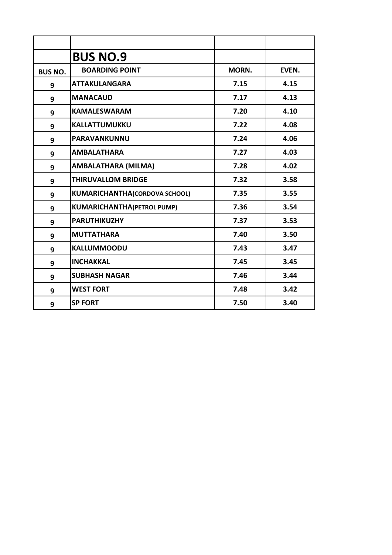|                | <b>BUS NO.9</b>                      |       |       |
|----------------|--------------------------------------|-------|-------|
| <b>BUS NO.</b> | <b>BOARDING POINT</b>                | MORN. | EVEN. |
| 9              | <b>ATTAKULANGARA</b>                 | 7.15  | 4.15  |
| 9              | <b>MANACAUD</b>                      | 7.17  | 4.13  |
| 9              | <b>KAMALESWARAM</b>                  | 7.20  | 4.10  |
| 9              | <b>KALLATTUMUKKU</b>                 | 7.22  | 4.08  |
| 9              | <b>PARAVANKUNNU</b>                  | 7.24  | 4.06  |
| 9              | <b>AMBALATHARA</b>                   | 7.27  | 4.03  |
| 9              | AMBALATHARA (MILMA)                  | 7.28  | 4.02  |
| 9              | <b>THIRUVALLOM BRIDGE</b>            | 7.32  | 3.58  |
| 9              | <b>KUMARICHANTHA(CORDOVA SCHOOL)</b> | 7.35  | 3.55  |
| 9              | <b>KUMARICHANTHA(PETROL PUMP)</b>    | 7.36  | 3.54  |
| 9              | <b>PARUTHIKUZHY</b>                  | 7.37  | 3.53  |
| 9              | <b>MUTTATHARA</b>                    | 7.40  | 3.50  |
| 9              | <b>KALLUMMOODU</b>                   | 7.43  | 3.47  |
| 9              | <b>INCHAKKAL</b>                     | 7.45  | 3.45  |
| 9              | <b>SUBHASH NAGAR</b>                 | 7.46  | 3.44  |
| 9              | <b>WEST FORT</b>                     | 7.48  | 3.42  |
| 9              | <b>SP FORT</b>                       | 7.50  | 3.40  |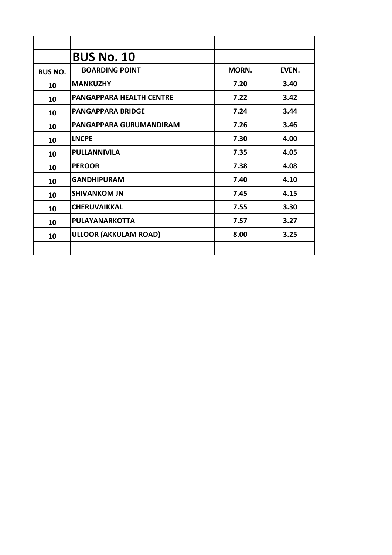|                | <b>BUS No. 10</b>               |       |       |
|----------------|---------------------------------|-------|-------|
| <b>BUS NO.</b> | <b>BOARDING POINT</b>           | MORN. | EVEN. |
| 10             | <b>MANKUZHY</b>                 | 7.20  | 3.40  |
| 10             | <b>PANGAPPARA HEALTH CENTRE</b> | 7.22  | 3.42  |
| 10             | <b>PANGAPPARA BRIDGE</b>        | 7.24  | 3.44  |
| 10             | PANGAPPARA GURUMANDIRAM         | 7.26  | 3.46  |
| 10             | <b>LNCPE</b>                    | 7.30  | 4.00  |
| 10             | <b>PULLANNIVILA</b>             | 7.35  | 4.05  |
| 10             | <b>PEROOR</b>                   | 7.38  | 4.08  |
| 10             | <b>GANDHIPURAM</b>              | 7.40  | 4.10  |
| 10             | <b>SHIVANKOM JN</b>             | 7.45  | 4.15  |
| 10             | <b>CHERUVAIKKAL</b>             | 7.55  | 3.30  |
| 10             | PULAYANARKOTTA                  | 7.57  | 3.27  |
| 10             | <b>ULLOOR (AKKULAM ROAD)</b>    | 8.00  | 3.25  |
|                |                                 |       |       |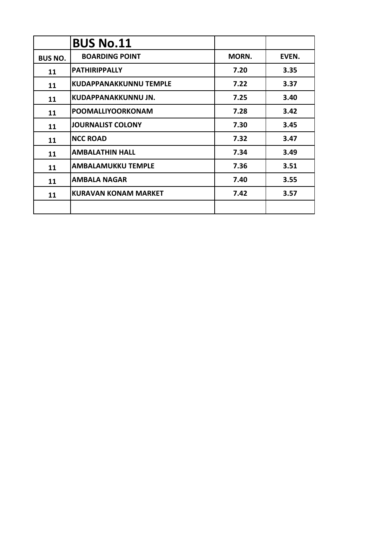|                | <b>BUS No.11</b>              |       |       |
|----------------|-------------------------------|-------|-------|
| <b>BUS NO.</b> | <b>BOARDING POINT</b>         | MORN. | EVEN. |
| 11             | <b>PATHIRIPPALLY</b>          | 7.20  | 3.35  |
| 11             | <b>KUDAPPANAKKUNNU TEMPLE</b> | 7.22  | 3.37  |
| 11             | KUDAPPANAKKUNNU JN.           | 7.25  | 3.40  |
| 11             | <b>POOMALLIYOORKONAM</b>      | 7.28  | 3.42  |
| 11             | <b>JOURNALIST COLONY</b>      | 7.30  | 3.45  |
| 11             | <b>NCC ROAD</b>               | 7.32  | 3.47  |
| 11             | <b>AMBALATHIN HALL</b>        | 7.34  | 3.49  |
| 11             | <b>AMBALAMUKKU TEMPLE</b>     | 7.36  | 3.51  |
| 11             | <b>AMBALA NAGAR</b>           | 7.40  | 3.55  |
| 11             | <b>KURAVAN KONAM MARKET</b>   | 7.42  | 3.57  |
|                |                               |       |       |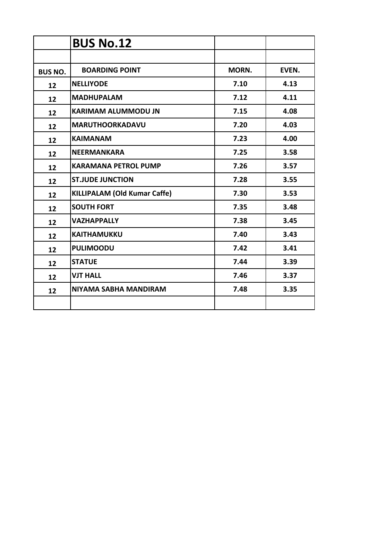|                | <b>BUS No.12</b>             |       |       |
|----------------|------------------------------|-------|-------|
|                |                              |       |       |
| <b>BUS NO.</b> | <b>BOARDING POINT</b>        | MORN. | EVEN. |
| 12             | <b>NELLIYODE</b>             | 7.10  | 4.13  |
| 12             | <b>MADHUPALAM</b>            | 7.12  | 4.11  |
| 12             | <b>KARIMAM ALUMMODU JN</b>   | 7.15  | 4.08  |
| 12             | <b>MARUTHOORKADAVU</b>       | 7.20  | 4.03  |
| 12             | <b>KAIMANAM</b>              | 7.23  | 4.00  |
| 12             | <b>NEERMANKARA</b>           | 7.25  | 3.58  |
| 12             | <b>KARAMANA PETROL PUMP</b>  | 7.26  | 3.57  |
| 12             | <b>ST.JUDE JUNCTION</b>      | 7.28  | 3.55  |
| 12             | KILLIPALAM (Old Kumar Caffe) | 7.30  | 3.53  |
| 12             | <b>SOUTH FORT</b>            | 7.35  | 3.48  |
| 12             | <b>VAZHAPPALLY</b>           | 7.38  | 3.45  |
| 12             | <b>KAITHAMUKKU</b>           | 7.40  | 3.43  |
| 12             | <b>PULIMOODU</b>             | 7.42  | 3.41  |
| 12             | <b>STATUE</b>                | 7.44  | 3.39  |
| 12             | <b>VJT HALL</b>              | 7.46  | 3.37  |
| 12             | NIYAMA SABHA MANDIRAM        | 7.48  | 3.35  |
|                |                              |       |       |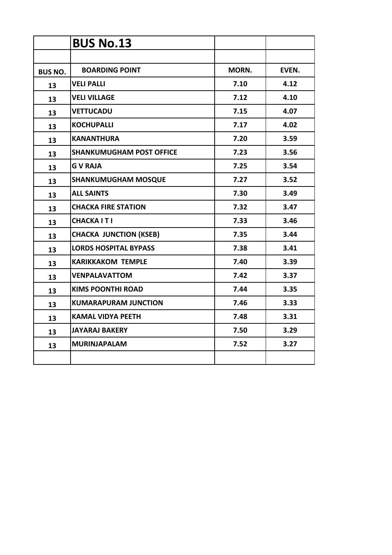|                | <b>BUS No.13</b>                |       |       |
|----------------|---------------------------------|-------|-------|
|                |                                 |       |       |
| <b>BUS NO.</b> | <b>BOARDING POINT</b>           | MORN. | EVEN. |
| 13             | <b>VELI PALLI</b>               | 7.10  | 4.12  |
| 13             | <b>VELI VILLAGE</b>             | 7.12  | 4.10  |
| 13             | <b>VETTUCADU</b>                | 7.15  | 4.07  |
| 13             | <b>KOCHUPALLI</b>               | 7.17  | 4.02  |
| 13             | <b>KANANTHURA</b>               | 7.20  | 3.59  |
| 13             | <b>SHANKUMUGHAM POST OFFICE</b> | 7.23  | 3.56  |
| 13             | <b>GVRAJA</b>                   | 7.25  | 3.54  |
| 13             | <b>SHANKUMUGHAM MOSQUE</b>      | 7.27  | 3.52  |
| 13             | <b>ALL SAINTS</b>               | 7.30  | 3.49  |
| 13             | <b>CHACKA FIRE STATION</b>      | 7.32  | 3.47  |
| 13             | <b>CHACKAITI</b>                | 7.33  | 3.46  |
| 13             | <b>CHACKA JUNCTION (KSEB)</b>   | 7.35  | 3.44  |
| 13             | <b>LORDS HOSPITAL BYPASS</b>    | 7.38  | 3.41  |
| 13             | <b>KARIKKAKOM TEMPLE</b>        | 7.40  | 3.39  |
| 13             | <b>VENPALAVATTOM</b>            | 7.42  | 3.37  |
| 13             | <b>KIMS POONTHI ROAD</b>        | 7.44  | 3.35  |
| 13             | <b>KUMARAPURAM JUNCTION</b>     | 7.46  | 3.33  |
| 13             | <b>KAMAL VIDYA PEETH</b>        | 7.48  | 3.31  |
| 13             | <b>JAYARAJ BAKERY</b>           | 7.50  | 3.29  |
| 13             | <b>MURINJAPALAM</b>             | 7.52  | 3.27  |
|                |                                 |       |       |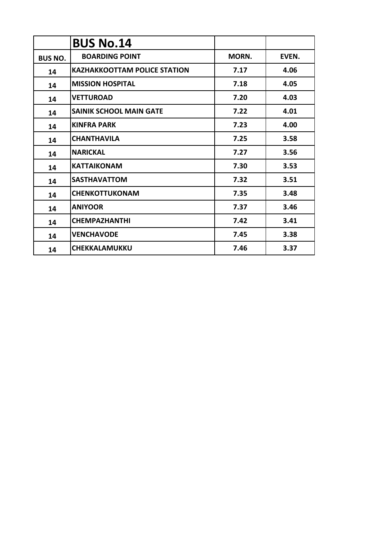|                | <b>BUS No.14</b>                    |       |       |
|----------------|-------------------------------------|-------|-------|
| <b>BUS NO.</b> | <b>BOARDING POINT</b>               | MORN. | EVEN. |
| 14             | <b>KAZHAKKOOTTAM POLICE STATION</b> | 7.17  | 4.06  |
| 14             | <b>MISSION HOSPITAL</b>             | 7.18  | 4.05  |
| 14             | <b>VETTUROAD</b>                    | 7.20  | 4.03  |
| 14             | <b>SAINIK SCHOOL MAIN GATE</b>      | 7.22  | 4.01  |
| 14             | <b>KINFRA PARK</b>                  | 7.23  | 4.00  |
| 14             | <b>CHANTHAVILA</b>                  | 7.25  | 3.58  |
| 14             | <b>NARICKAL</b>                     | 7.27  | 3.56  |
| 14             | <b>KATTAIKONAM</b>                  | 7.30  | 3.53  |
| 14             | <b>SASTHAVATTOM</b>                 | 7.32  | 3.51  |
| 14             | <b>CHENKOTTUKONAM</b>               | 7.35  | 3.48  |
| 14             | <b>ANIYOOR</b>                      | 7.37  | 3.46  |
| 14             | <b>CHEMPAZHANTHI</b>                | 7.42  | 3.41  |
| 14             | <b>VENCHAVODE</b>                   | 7.45  | 3.38  |
| 14             | <b>CHEKKALAMUKKU</b>                | 7.46  | 3.37  |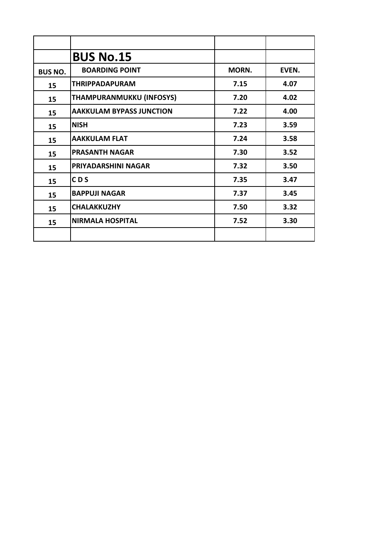|                | <b>BUS No.15</b>                |       |       |
|----------------|---------------------------------|-------|-------|
| <b>BUS NO.</b> | <b>BOARDING POINT</b>           | MORN. | EVEN. |
| 15             | <b>THRIPPADAPURAM</b>           | 7.15  | 4.07  |
| 15             | THAMPURANMUKKU (INFOSYS)        | 7.20  | 4.02  |
| 15             | <b>AAKKULAM BYPASS JUNCTION</b> | 7.22  | 4.00  |
| 15             | <b>NISH</b>                     | 7.23  | 3.59  |
| 15             | <b>AAKKULAM FLAT</b>            | 7.24  | 3.58  |
| 15             | <b>PRASANTH NAGAR</b>           | 7.30  | 3.52  |
| 15             | PRIYADARSHINI NAGAR             | 7.32  | 3.50  |
| 15             | CD <sub>S</sub>                 | 7.35  | 3.47  |
| 15             | <b>BAPPUJI NAGAR</b>            | 7.37  | 3.45  |
| 15             | <b>CHALAKKUZHY</b>              | 7.50  | 3.32  |
| 15             | <b>NIRMALA HOSPITAL</b>         | 7.52  | 3.30  |
|                |                                 |       |       |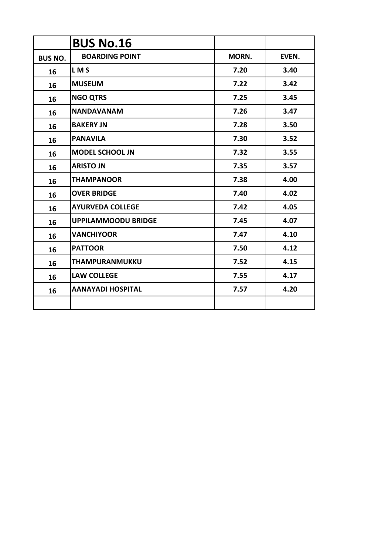|                | <b>BUS No.16</b>           |       |       |
|----------------|----------------------------|-------|-------|
| <b>BUS NO.</b> | <b>BOARDING POINT</b>      | MORN. | EVEN. |
| 16             | LM <sub>S</sub>            | 7.20  | 3.40  |
| 16             | <b>MUSEUM</b>              | 7.22  | 3.42  |
| 16             | <b>NGO QTRS</b>            | 7.25  | 3.45  |
| 16             | <b>NANDAVANAM</b>          | 7.26  | 3.47  |
| 16             | <b>BAKERY JN</b>           | 7.28  | 3.50  |
| 16             | <b>PANAVILA</b>            | 7.30  | 3.52  |
| 16             | <b>MODEL SCHOOL JN</b>     | 7.32  | 3.55  |
| 16             | <b>ARISTO JN</b>           | 7.35  | 3.57  |
| 16             | <b>THAMPANOOR</b>          | 7.38  | 4.00  |
| 16             | <b>OVER BRIDGE</b>         | 7.40  | 4.02  |
| 16             | <b>AYURVEDA COLLEGE</b>    | 7.42  | 4.05  |
| 16             | <b>UPPILAMMOODU BRIDGE</b> | 7.45  | 4.07  |
| 16             | <b>VANCHIYOOR</b>          | 7.47  | 4.10  |
| 16             | <b>PATTOOR</b>             | 7.50  | 4.12  |
| 16             | THAMPURANMUKKU             | 7.52  | 4.15  |
| 16             | <b>LAW COLLEGE</b>         | 7.55  | 4.17  |
| 16             | <b>AANAYADI HOSPITAL</b>   | 7.57  | 4.20  |
|                |                            |       |       |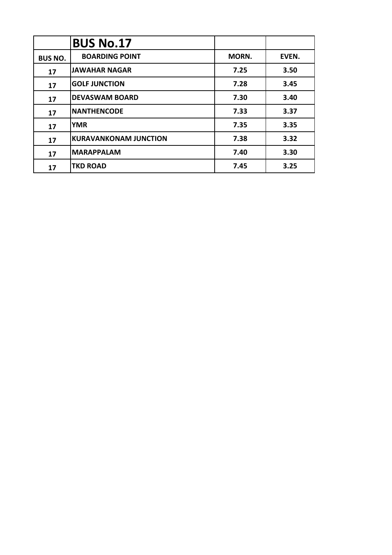|                | <b>BUS No.17</b>             |       |       |
|----------------|------------------------------|-------|-------|
| <b>BUS NO.</b> | <b>BOARDING POINT</b>        | MORN. | EVEN. |
| 17             | <b>JAWAHAR NAGAR</b>         | 7.25  | 3.50  |
| 17             | <b>GOLF JUNCTION</b>         | 7.28  | 3.45  |
| 17             | <b>DEVASWAM BOARD</b>        | 7.30  | 3.40  |
| 17             | <b>NANTHENCODE</b>           | 7.33  | 3.37  |
| 17             | <b>YMR</b>                   | 7.35  | 3.35  |
| 17             | <b>KURAVANKONAM JUNCTION</b> | 7.38  | 3.32  |
| 17             | <b>MARAPPALAM</b>            | 7.40  | 3.30  |
| 17             | <b>TKD ROAD</b>              | 7.45  | 3.25  |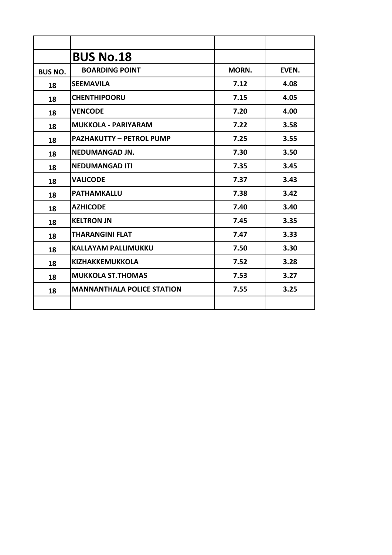|                | <b>BUS No.18</b>                  |       |       |
|----------------|-----------------------------------|-------|-------|
| <b>BUS NO.</b> | <b>BOARDING POINT</b>             | MORN. | EVEN. |
| 18             | <b>SEEMAVILA</b>                  | 7.12  | 4.08  |
| 18             | <b>CHENTHIPOORU</b>               | 7.15  | 4.05  |
| 18             | <b>VENCODE</b>                    | 7.20  | 4.00  |
| 18             | <b>MUKKOLA - PARIYARAM</b>        | 7.22  | 3.58  |
| 18             | <b>PAZHAKUTTY - PETROL PUMP</b>   | 7.25  | 3.55  |
| 18             | <b>NEDUMANGAD JN.</b>             | 7.30  | 3.50  |
| 18             | <b>NEDUMANGAD ITI</b>             | 7.35  | 3.45  |
| 18             | <b>VALICODE</b>                   | 7.37  | 3.43  |
| 18             | <b>PATHAMKALLU</b>                | 7.38  | 3.42  |
| 18             | <b>AZHICODE</b>                   | 7.40  | 3.40  |
| 18             | <b>KELTRON JN</b>                 | 7.45  | 3.35  |
| 18             | <b>THARANGINI FLAT</b>            | 7.47  | 3.33  |
| 18             | <b>KALLAYAM PALLIMUKKU</b>        | 7.50  | 3.30  |
| 18             | <b>KIZHAKKEMUKKOLA</b>            | 7.52  | 3.28  |
| 18             | <b>MUKKOLA ST.THOMAS</b>          | 7.53  | 3.27  |
| 18             | <b>MANNANTHALA POLICE STATION</b> | 7.55  | 3.25  |
|                |                                   |       |       |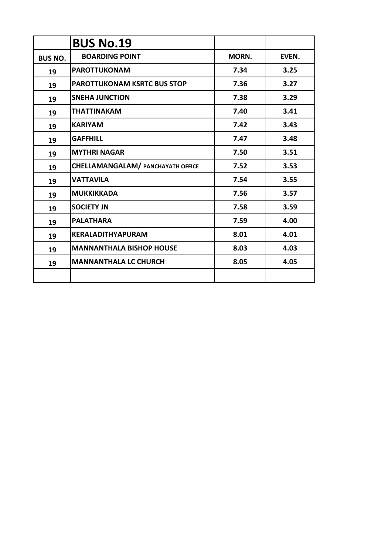|                | <b>BUS No.19</b>                         |       |       |
|----------------|------------------------------------------|-------|-------|
| <b>BUS NO.</b> | <b>BOARDING POINT</b>                    | MORN. | EVEN. |
| 19             | <b>PAROTTUKONAM</b>                      | 7.34  | 3.25  |
| 19             | <b>PAROTTUKONAM KSRTC BUS STOP</b>       | 7.36  | 3.27  |
| 19             | <b>SNEHA JUNCTION</b>                    | 7.38  | 3.29  |
| 19             | <b>THATTINAKAM</b>                       | 7.40  | 3.41  |
| 19             | <b>KARIYAM</b>                           | 7.42  | 3.43  |
| 19             | <b>GAFFHILL</b>                          | 7.47  | 3.48  |
| 19             | <b>MYTHRI NAGAR</b>                      | 7.50  | 3.51  |
| 19             | <b>CHELLAMANGALAM/ PANCHAYATH OFFICE</b> | 7.52  | 3.53  |
| 19             | <b>VATTAVILA</b>                         | 7.54  | 3.55  |
| 19             | <b>MUKKIKKADA</b>                        | 7.56  | 3.57  |
| 19             | <b>SOCIETY JN</b>                        | 7.58  | 3.59  |
| 19             | <b>PALATHARA</b>                         | 7.59  | 4.00  |
| 19             | <b>KERALADITHYAPURAM</b>                 | 8.01  | 4.01  |
| 19             | <b>MANNANTHALA BISHOP HOUSE</b>          | 8.03  | 4.03  |
| 19             | <b>MANNANTHALA LC CHURCH</b>             | 8.05  | 4.05  |
|                |                                          |       |       |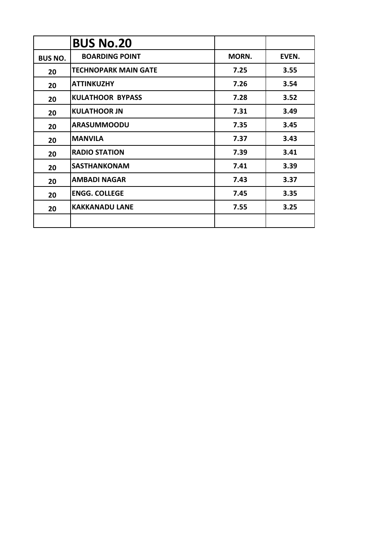|                | <b>BUS No.20</b>            |       |       |
|----------------|-----------------------------|-------|-------|
| <b>BUS NO.</b> | <b>BOARDING POINT</b>       | MORN. | EVEN. |
| 20             | <b>TECHNOPARK MAIN GATE</b> | 7.25  | 3.55  |
| 20             | <b>ATTINKUZHY</b>           | 7.26  | 3.54  |
| 20             | <b>KULATHOOR BYPASS</b>     | 7.28  | 3.52  |
| 20             | <b>KULATHOOR JN</b>         | 7.31  | 3.49  |
| 20             | <b>ARASUMMOODU</b>          | 7.35  | 3.45  |
| 20             | <b>MANVILA</b>              | 7.37  | 3.43  |
| 20             | <b>RADIO STATION</b>        | 7.39  | 3.41  |
| 20             | <b>SASTHANKONAM</b>         | 7.41  | 3.39  |
| 20             | <b>AMBADI NAGAR</b>         | 7.43  | 3.37  |
| 20             | <b>ENGG. COLLEGE</b>        | 7.45  | 3.35  |
| 20             | <b>KAKKANADU LANE</b>       | 7.55  | 3.25  |
|                |                             |       |       |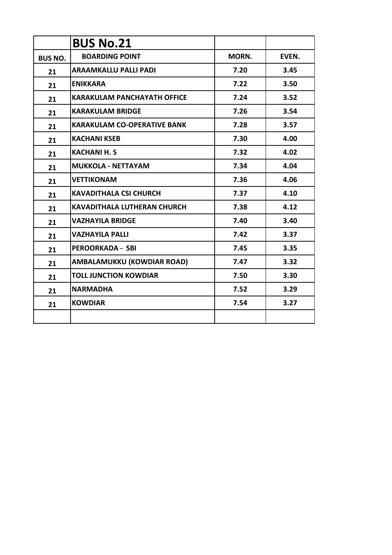|                | <b>BUS No.21</b>                   |       |       |
|----------------|------------------------------------|-------|-------|
| <b>BUS NO.</b> | <b>BOARDING POINT</b>              | MORN. | EVEN. |
| 21             | <b>ARAAMKALLU PALLI PADI</b>       | 7.20  | 3.45  |
| 21             | <b>ENIKKARA</b>                    | 7.22  | 3.50  |
| 21             | <b>KARAKULAM PANCHAYATH OFFICE</b> | 7.24  | 3.52  |
| 21             | <b>KARAKULAM BRIDGE</b>            | 7.26  | 3.54  |
| 21             | <b>KARAKULAM CO-OPERATIVE BANK</b> | 7.28  | 3.57  |
| 21             | <b>KACHANI KSEB</b>                | 7.30  | 4.00  |
| 21             | <b>KACHANI H. S</b>                | 7.32  | 4.02  |
| 21             | <b>MUKKOLA - NETTAYAM</b>          | 7.34  | 4.04  |
| 21             | <b>VETTIKONAM</b>                  | 7.36  | 4.06  |
| 21             | <b>KAVADITHALA CSI CHURCH</b>      | 7.37  | 4.10  |
| 21             | <b>KAVADITHALA LUTHERAN CHURCH</b> | 7.38  | 4.12  |
| 21             | <b>VAZHAYILA BRIDGE</b>            | 7.40  | 3.40  |
| 21             | <b>VAZHAYILA PALLI</b>             | 7.42  | 3.37  |
| 21             | <b>PEROORKADA - SBI</b>            | 7.45  | 3.35  |
| 21             | AMBALAMUKKU (KOWDIAR ROAD)         | 7.47  | 3.32  |
| 21             | <b>TOLL JUNCTION KOWDIAR</b>       | 7.50  | 3.30  |
| 21             | <b>NARMADHA</b>                    | 7.52  | 3.29  |
| 21             | <b>KOWDIAR</b>                     | 7.54  | 3.27  |
|                |                                    |       |       |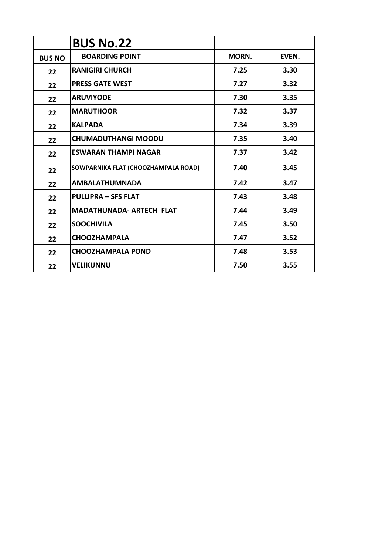|               | <b>BUS No.22</b>                    |       |       |
|---------------|-------------------------------------|-------|-------|
| <b>BUS NO</b> | <b>BOARDING POINT</b>               | MORN. | EVEN. |
| 22            | <b>RANIGIRI CHURCH</b>              | 7.25  | 3.30  |
| 22            | <b>PRESS GATE WEST</b>              | 7.27  | 3.32  |
| 22            | <b>ARUVIYODE</b>                    | 7.30  | 3.35  |
| 22            | <b>MARUTHOOR</b>                    | 7.32  | 3.37  |
| 22            | <b>KALPADA</b>                      | 7.34  | 3.39  |
| 22            | <b>CHUMADUTHANGI MOODU</b>          | 7.35  | 3.40  |
| 22            | <b>ESWARAN THAMPI NAGAR</b>         | 7.37  | 3.42  |
| 22            | SOWPARNIKA FLAT (CHOOZHAMPALA ROAD) | 7.40  | 3.45  |
| 22            | <b>AMBALATHUMNADA</b>               | 7.42  | 3.47  |
| 22            | <b>PULLIPRA - SFS FLAT</b>          | 7.43  | 3.48  |
| 22            | <b>MADATHUNADA- ARTECH FLAT</b>     | 7.44  | 3.49  |
| 22            | <b>SOOCHIVILA</b>                   | 7.45  | 3.50  |
| 22            | <b>CHOOZHAMPALA</b>                 | 7.47  | 3.52  |
| 22            | <b>CHOOZHAMPALA POND</b>            | 7.48  | 3.53  |
| 22            | <b>VELIKUNNU</b>                    | 7.50  | 3.55  |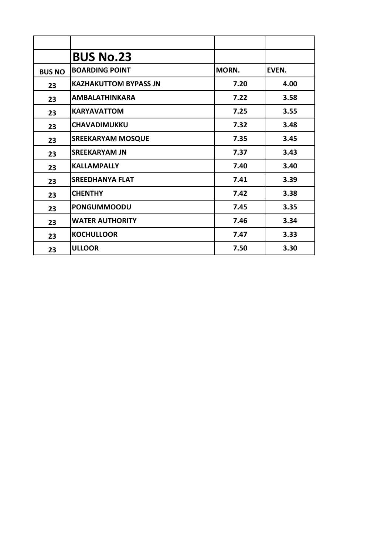|               | <b>BUS No.23</b>             |       |       |
|---------------|------------------------------|-------|-------|
| <b>BUS NO</b> | <b>BOARDING POINT</b>        | MORN. | EVEN. |
| 23            | <b>KAZHAKUTTOM BYPASS JN</b> | 7.20  | 4.00  |
| 23            | <b>AMBALATHINKARA</b>        | 7.22  | 3.58  |
| 23            | <b>KARYAVATTOM</b>           | 7.25  | 3.55  |
| 23            | <b>CHAVADIMUKKU</b>          | 7.32  | 3.48  |
| 23            | <b>SREEKARYAM MOSQUE</b>     | 7.35  | 3.45  |
| 23            | <b>SREEKARYAM JN</b>         | 7.37  | 3.43  |
| 23            | <b>KALLAMPALLY</b>           | 7.40  | 3.40  |
| 23            | <b>SREEDHANYA FLAT</b>       | 7.41  | 3.39  |
| 23            | <b>CHENTHY</b>               | 7.42  | 3.38  |
| 23            | <b>PONGUMMOODU</b>           | 7.45  | 3.35  |
| 23            | <b>WATER AUTHORITY</b>       | 7.46  | 3.34  |
| 23            | <b>KOCHULLOOR</b>            | 7.47  | 3.33  |
| 23            | <b>ULLOOR</b>                | 7.50  | 3.30  |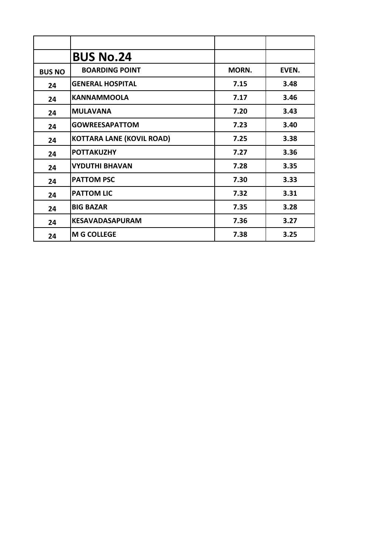|               | <b>BUS No.24</b>                 |       |       |
|---------------|----------------------------------|-------|-------|
| <b>BUS NO</b> | <b>BOARDING POINT</b>            | MORN. | EVEN. |
| 24            | <b>GENERAL HOSPITAL</b>          | 7.15  | 3.48  |
| 24            | <b>KANNAMMOOLA</b>               | 7.17  | 3.46  |
| 24            | <b>MULAVANA</b>                  | 7.20  | 3.43  |
| 24            | <b>GOWREESAPATTOM</b>            | 7.23  | 3.40  |
| 24            | <b>KOTTARA LANE (KOVIL ROAD)</b> | 7.25  | 3.38  |
| 24            | <b>POTTAKUZHY</b>                | 7.27  | 3.36  |
| 24            | <b>VYDUTHI BHAVAN</b>            | 7.28  | 3.35  |
| 24            | <b>PATTOM PSC</b>                | 7.30  | 3.33  |
| 24            | <b>PATTOM LIC</b>                | 7.32  | 3.31  |
| 24            | <b>BIG BAZAR</b>                 | 7.35  | 3.28  |
| 24            | <b>KESAVADASAPURAM</b>           | 7.36  | 3.27  |
| 24            | <b>M G COLLEGE</b>               | 7.38  | 3.25  |